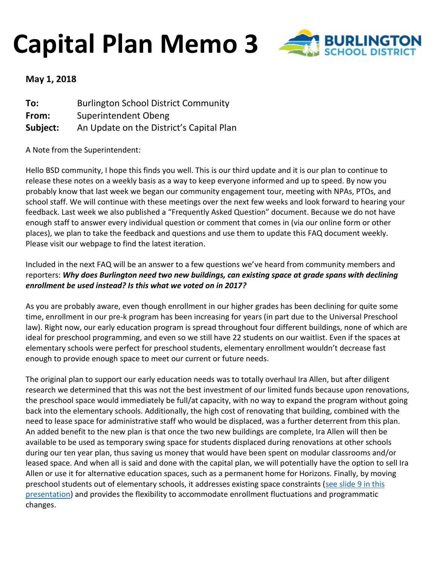## **Capital Plan Memo 3**



## **May 1, 2018**

| To:      | <b>Burlington School District Community</b> |
|----------|---------------------------------------------|
| From:    | Superintendent Obeng                        |
| Subject: | An Update on the District's Capital Plan    |

A Note from the Superintendent:

Hello BSD community, I hope this finds you well. This is our third update and it is our plan to continue to release these notes on a weekly basis as a way to keep everyone informed and up to speed. By now you probably know that last week we began our community engagement tour, meeting with NPAs, PTOs, and school staff. We will continue with these meetings over the next few weeks and look forward to hearing your feedback. Last week we also published a "Frequently Asked Question" document. Because we do not have enough staff to answer every individual question or comment that comes in (via our online form or other places), we plan to take the feedback and questions and use them to update this FAQ document weekly. Please visit our webpage to find the latest iteration.

## Included in the next FAQ will be an answer to a few questions we've heard from community members and reporters: *Why does Burlington need two new buildings, can existing space at grade spans with declining enrollment be used instead? Is this what we voted on in 2017?*

As you are probably aware, even though enrollment in our higher grades has been declining for quite some time, enrollment in our pre-k program has been increasing for years (in part due to the Universal Preschool law). Right now, our early education program is spread throughout four different buildings, none of which are ideal for preschool programming, and even so we still have 22 students on our waitlist. Even if the spaces at elementary schools were perfect for preschool students, elementary enrollment wouldn't decrease fast enough to provide enough space to meet our current or future needs.

The original plan to support our early education needs was to totally overhaul Ira Allen, but after diligent research we determined that this was not the best investment of our limited funds because upon renovations, the preschool space would immediately be full/at capacity, with no way to expand the program without going back into the elementary schools. Additionally, the high cost of renovating that building, combined with the need to lease space for administrative staff who would be displaced, was a further deterrent from this plan. An added benefit to the new plan is that once the two new buildings are complete, Ira Allen will then be available to be used as temporary swing space for students displaced during renovations at other schools during our ten year plan, thus saving us money that would have been spent on modular classrooms and/or leased space. And when all is said and done with the capital plan, we will potentially have the option to sell Ira Allen or use it for alternative education spaces, such as a permanent home for Horizons. Finally, by moving preschool students out of elementary schools, it addresses existing space constraints (see slide 9 in this [presentation\)](http://www.bsdvt.org/wp-content/uploads/2017/07/June-2016-BSD-Long-Range-Master-Facilities-Plan.pdf) and provides the flexibility to accommodate enrollment fluctuations and programmatic changes.